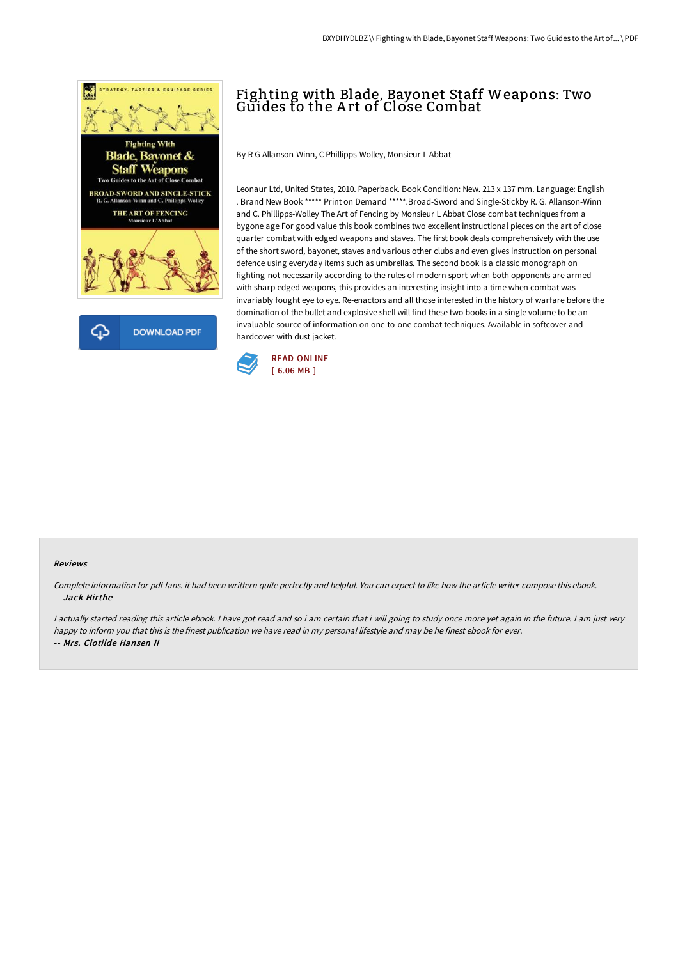

## Fighting with Blade, Bayonet Staff Weapons: Two Guides to the A rt of Close Combat

By R G Allanson-Winn, C Phillipps-Wolley, Monsieur L Abbat

Leonaur Ltd, United States, 2010. Paperback. Book Condition: New. 213 x 137 mm. Language: English . Brand New Book \*\*\*\*\* Print on Demand \*\*\*\*\*.Broad-Sword and Single-Stickby R. G. Allanson-Winn and C. Phillipps-Wolley The Art of Fencing by Monsieur L Abbat Close combat techniques from a bygone age For good value this book combines two excellent instructional pieces on the art of close quarter combat with edged weapons and staves. The first book deals comprehensively with the use of the short sword, bayonet, staves and various other clubs and even gives instruction on personal defence using everyday items such as umbrellas. The second book is a classic monograph on fighting-not necessarily according to the rules of modern sport-when both opponents are armed with sharp edged weapons, this provides an interesting insight into a time when combat was invariably fought eye to eye. Re-enactors and all those interested in the history of warfare before the domination of the bullet and explosive shell will find these two books in a single volume to be an invaluable source of information on one-to-one combat techniques. Available in softcover and hardcover with dust jacket.



## Reviews

Complete information for pdf fans. it had been writtern quite perfectly and helpful. You can expect to like how the article writer compose this ebook. -- Jack Hirthe

I actually started reading this article ebook. I have got read and so i am certain that i will going to study once more yet again in the future. I am just very happy to inform you that this is the finest publication we have read in my personal lifestyle and may be he finest ebook for ever. -- Mrs. Clotilde Hansen II